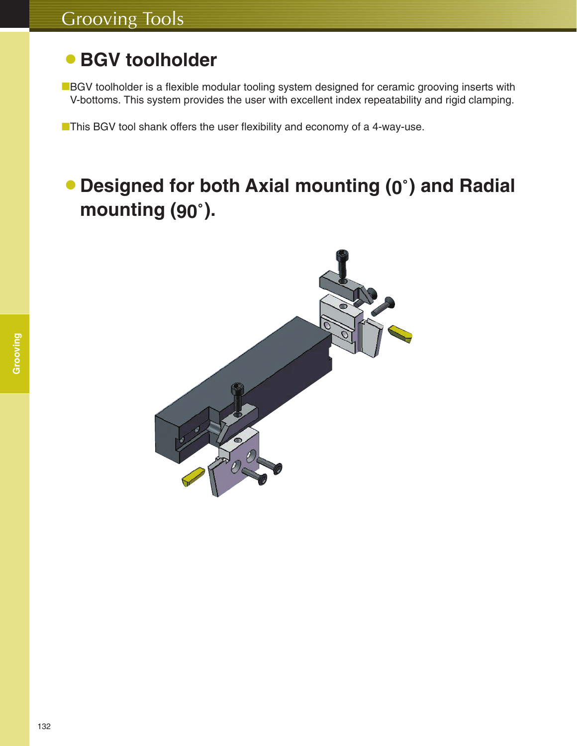## **• BGV toolholder**

■BGV toolholder is a flexible modular tooling system designed for ceramic grooving inserts with V-bottoms. This system provides the user with excellent index repeatability and rigid clamping.

■This BGV tool shank offers the user flexibility and economy of a 4-way-use.

## 蘆**Designed for both Axial mounting (0**゚**) and Radial mounting (90**゚**).**

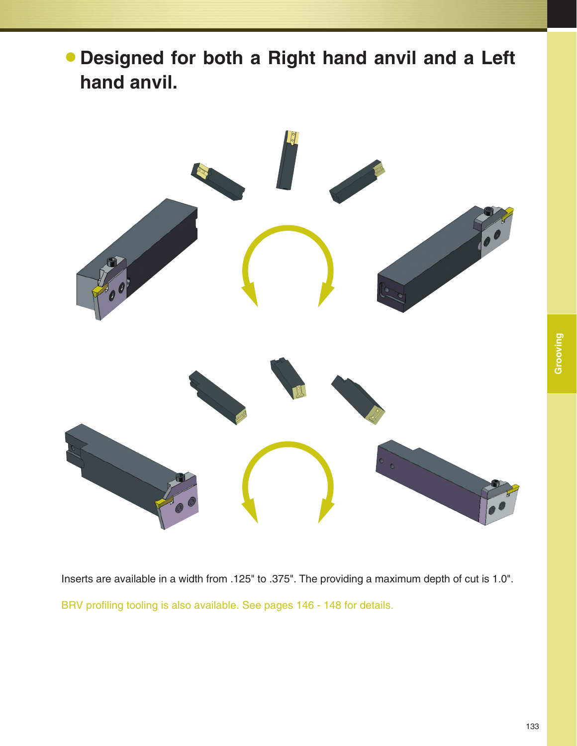蘆**Designed for both a Right hand anvil and a Left hand anvil.**



Inserts are available in a width from .125" to .375". The providing a maximum depth of cut is 1.0". BRV profiling tooling is also available. See pages 146 - 148 for details.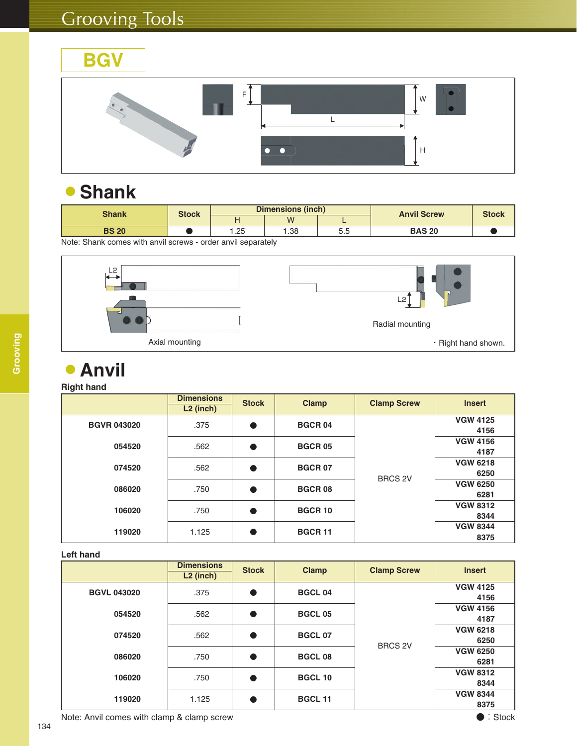

#### 蘆**Shank**

| <b>Shank</b> |              | <b>Stock</b> |             | <b>Dimensions (inch)</b> |     | <b>Anvil Screw</b> | <b>Stock</b> |
|--------------|--------------|--------------|-------------|--------------------------|-----|--------------------|--------------|
|              |              |              | M           |                          |     |                    |              |
|              | <b>BS 20</b> |              | <b>1.25</b> | I.38                     | 5.5 | <b>BAS 20</b>      |              |

Note: Shank comes with anvil screws - order anvil separately



#### 蘆**Anvil**

#### **Right hand**

|                    | <b>Dimensions</b><br>$L2$ (inch) | <b>Stock</b> | <b>Clamp</b>   | <b>Clamp Screw</b> | <b>Insert</b>           |
|--------------------|----------------------------------|--------------|----------------|--------------------|-------------------------|
| <b>BGVR 043020</b> | .375                             | $\bullet$    | <b>BGCR04</b>  |                    | <b>VGW 4125</b><br>4156 |
| 054520             | .562                             | $\bullet$    | <b>BGCR 05</b> |                    | <b>VGW 4156</b><br>4187 |
| 074520             | .562                             | $\bullet$    | <b>BGCR 07</b> | <b>BRCS 2V</b>     | <b>VGW 6218</b><br>6250 |
| 086020             | .750                             | Q            | <b>BGCR08</b>  |                    | <b>VGW 6250</b><br>6281 |
| 106020             | .750                             | $\bullet$    | <b>BGCR 10</b> |                    | <b>VGW 8312</b><br>8344 |
| 119020             | 1.125                            | Q            | <b>BGCR 11</b> |                    | <b>VGW 8344</b><br>8375 |

#### **Left hand**

|                    | <b>Dimensions</b><br>$L2$ (inch) | <b>Stock</b> | <b>Clamp</b>   | <b>Clamp Screw</b> | <b>Insert</b>           |
|--------------------|----------------------------------|--------------|----------------|--------------------|-------------------------|
| <b>BGVL 043020</b> | .375                             |              | <b>BGCL04</b>  |                    | <b>VGW 4125</b><br>4156 |
| 054520             | .562                             |              | <b>BGCL 05</b> |                    | <b>VGW 4156</b><br>4187 |
| 074520             | .562                             | $\bullet$    | <b>BGCL 07</b> | <b>BRCS 2V</b>     | <b>VGW 6218</b><br>6250 |
| 086020             | .750                             |              | <b>BGCL08</b>  |                    | <b>VGW 6250</b><br>6281 |
| 106020             | .750                             |              | <b>BGCL 10</b> |                    | <b>VGW 8312</b><br>8344 |
| 119020             | 1.125                            |              | <b>BGCL 11</b> |                    | <b>VGW 8344</b><br>8375 |

Note: Anvil comes with clamp & clamp screw expression of the state of the Stock of Stock and Stock and Stock of Stock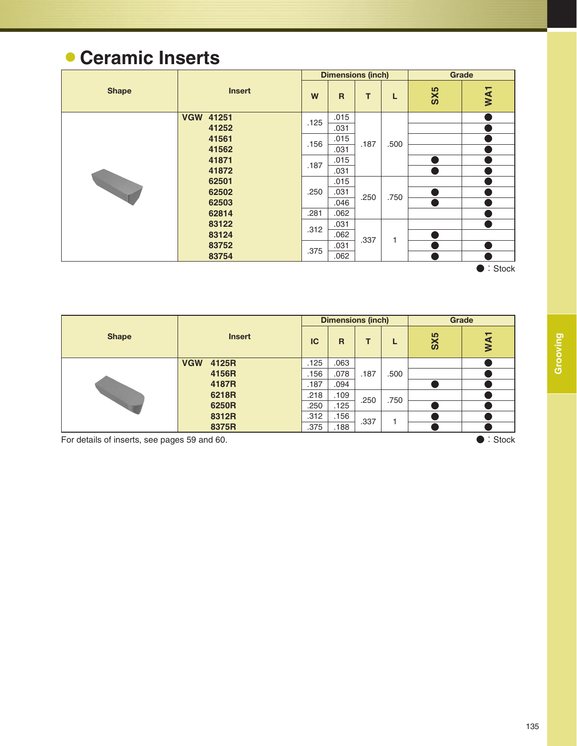# 蘆**Ceramic Inserts**

|              |                  |      | <b>Dimensions (inch)</b> |      |      | Grade |                 |
|--------------|------------------|------|--------------------------|------|------|-------|-----------------|
| <b>Shape</b> | <b>Insert</b>    | W    | $\mathsf{R}$             | T    | L    | SX5   | WA <sub>1</sub> |
|              | <b>VGW 41251</b> | .125 | .015                     |      |      |       |                 |
|              | 41252            |      | .031                     |      |      |       |                 |
|              | 41561            | .156 | .015                     | .187 | .500 |       |                 |
|              | 41562            |      | .031                     |      |      |       |                 |
|              | 41871            | .187 | .015                     |      |      |       |                 |
|              | 41872            |      | .031                     |      |      |       |                 |
|              | 62501            |      | .015                     |      |      |       |                 |
|              | 62502            | .250 | .031                     |      | .750 |       |                 |
|              | 62503            |      | .046                     | .250 |      |       |                 |
|              | 62814            | .281 | .062                     |      |      |       |                 |
|              | 83122            | .312 | .031                     |      |      |       |                 |
|              | 83124            |      | .062                     | .337 |      |       |                 |
|              | 83752            | .375 | .031                     |      |      |       |                 |
|              | 83754            |      | .062                     |      |      |       |                 |

● : Stock

|              |               |       |      |      | <b>Dimensions (inch)</b> |      |                 | Grade           |  |
|--------------|---------------|-------|------|------|--------------------------|------|-----------------|-----------------|--|
| <b>Shape</b> | <b>Insert</b> |       | IC   | R    | т                        | L    | SX <sub>5</sub> | WA <sub>1</sub> |  |
|              | <b>VGW</b>    | 4125R | .125 | .063 |                          |      |                 |                 |  |
|              |               | 4156R | .156 | .078 | .187                     | .500 |                 |                 |  |
|              |               | 4187R | .187 | .094 |                          |      |                 |                 |  |
|              |               | 6218R | .218 | .109 | .250                     | .750 |                 |                 |  |
|              |               | 6250R | .250 | .125 |                          |      |                 |                 |  |
|              |               | 8312R | .312 | .156 | .337                     |      |                 |                 |  |
|              | 8375R         |       | .375 | .188 |                          |      |                 |                 |  |
| _            | __            | .     |      |      |                          |      |                 | .               |  |

For details of inserts, see pages 59 and 60. **All and Society and Society According to the Control** Stock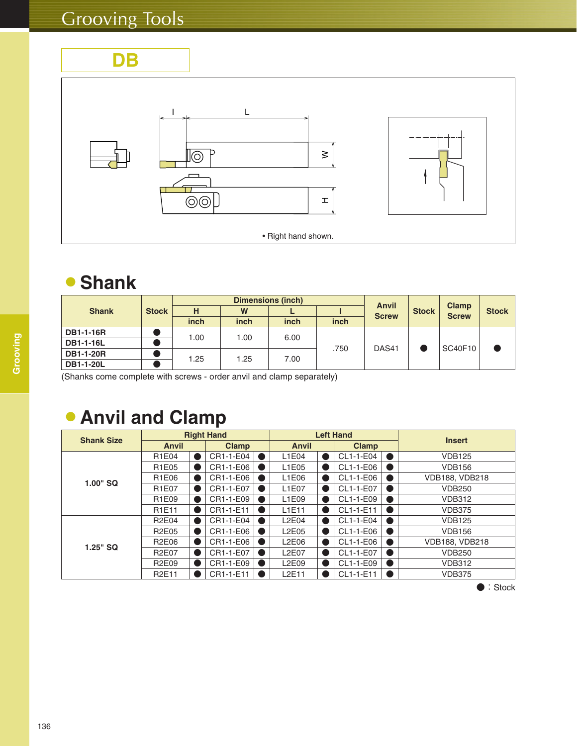**DB**



#### 蘆**Shank**

|                  |              | <b>Dimensions (inch)</b> |      |      |      | <b>Anvil</b> |              |                              |              |
|------------------|--------------|--------------------------|------|------|------|--------------|--------------|------------------------------|--------------|
| <b>Shank</b>     | <b>Stock</b> | н                        | W    |      |      | <b>Screw</b> | <b>Stock</b> | <b>Clamp</b><br><b>Screw</b> | <b>Stock</b> |
|                  |              | inch                     | inch | inch | inch |              |              |                              |              |
| <b>DB1-1-16R</b> |              | 1.00                     | 1.00 | 6.00 |      | DAS41        |              | SC40F10                      |              |
| <b>DB1-1-16L</b> |              |                          |      |      |      |              |              |                              |              |
| <b>DB1-1-20R</b> |              | 1.25                     |      |      | .750 |              |              |                              |              |
| <b>DB1-1-20L</b> |              |                          | 1.25 | 7.00 |      |              |              |                              |              |

(Shanks come complete with screws - order anvil and clamp separately)

## **• Anvil and Clamp**

| <b>Shank Size</b> |                                |           | <b>Right Hand</b> |           |                                | <b>Left Hand</b> |   | <b>Insert</b>         |  |
|-------------------|--------------------------------|-----------|-------------------|-----------|--------------------------------|------------------|---|-----------------------|--|
|                   | <b>Anvil</b>                   |           | <b>Clamp</b>      |           | <b>Anvil</b>                   | <b>Clamp</b>     |   |                       |  |
|                   | R1E04                          | $\bullet$ | CR1-1-E04         |           | L1E04                          | CL1-1-E04        | D | <b>VDB125</b>         |  |
|                   | R1E05                          |           | CR1-1-E06         | $\bullet$ | L1E05                          | CL1-1-E06        | D | <b>VDB156</b>         |  |
| $1.00"$ SQ        | R1E06                          |           | CR1-1-E06         | $\bullet$ | L1E06                          | CL1-1-E06        | D | <b>VDB188, VDB218</b> |  |
|                   | R <sub>1</sub> E07             |           | CR1-1-E07         |           | L1E07                          | CL1-1-E07        | D | <b>VDB250</b>         |  |
|                   | R1E09                          | $\bullet$ | CR1-1-E09         | $\bullet$ | L1E09                          | CL1-1-E09        | D | <b>VDB312</b>         |  |
|                   | R <sub>1</sub> E <sub>11</sub> | $\bullet$ | CR1-1-E11         | $\bullet$ | L1E11                          | CL1-1-E11        | D | <b>VDB375</b>         |  |
|                   | <b>R2E04</b>                   | $\bullet$ | CR1-1-E04         | $\bullet$ | L2E04                          | CL1-1-E04        | D | <b>VDB125</b>         |  |
|                   | <b>R2E05</b>                   | 0         | CR1-1-E06         | $\bullet$ | L2E05                          | CL1-1-E06        | D | <b>VDB156</b>         |  |
| $1.25"$ SQ        | <b>R2E06</b>                   |           | CR1-1-E06         |           | L2E06                          | CL1-1-E06        | D | <b>VDB188, VDB218</b> |  |
|                   | <b>R2E07</b>                   |           | CR1-1-E07         | $\bullet$ | L2E07                          | CL1-1-E07        | D | <b>VDB250</b>         |  |
|                   | <b>R2E09</b>                   | 0         | CR1-1-E09         |           | L2E09                          | CL1-1-E09        | D | <b>VDB312</b>         |  |
|                   | <b>R2E11</b>                   |           | CR1-1-E11         |           | L <sub>2</sub> E <sub>11</sub> | CL1-1-E11        | D | <b>VDB375</b>         |  |

● : Stock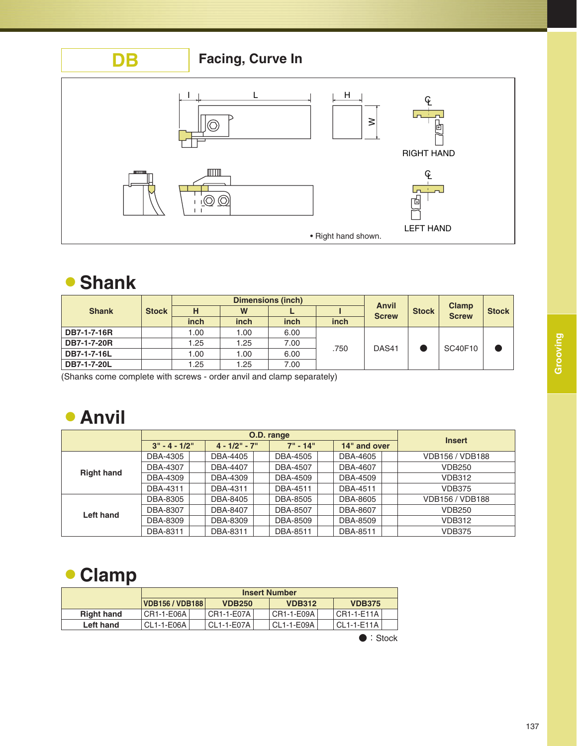

#### 蘆**Shank**

|              |              |      |      | <b>Dimensions (inch)</b> |      |              | <b>Stock</b> | <b>Clamp</b><br><b>Screw</b> | <b>Stock</b> |
|--------------|--------------|------|------|--------------------------|------|--------------|--------------|------------------------------|--------------|
| <b>Shank</b> | <b>Stock</b> | н    | W    | ►                        |      | <b>Anvil</b> |              |                              |              |
|              |              | inch | inch | inch                     | inch | <b>Screw</b> |              |                              |              |
| DB7-1-7-16R  |              | .00  | .00  | 6.00                     |      |              |              | <b>SC40F10</b>               |              |
| DB7-1-7-20R  |              | 1.25 | 1.25 | 7.00                     | .750 | DAS41        |              |                              |              |
| DB7-1-7-16L  |              | .00  | .00  | 6.00                     |      |              |              |                              |              |
| DB7-1-7-20L  |              | .25  | .25  | 7.00                     |      |              |              |                              |              |

(Shanks come complete with screws - order anvil and clamp separately)

## 蘆**Anvil**

|                   |                 | O.D. range          |            | <b>Insert</b> |                        |
|-------------------|-----------------|---------------------|------------|---------------|------------------------|
|                   | $3" - 4 - 1/2"$ | $4 - 1/2$ " - $7$ " | $7" - 14"$ | 14" and over  |                        |
|                   | DBA-4305        | DBA-4405            | DBA-4505   | DBA-4605      | VDB156 / VDB188        |
| <b>Right hand</b> | DBA-4307        | DBA-4407            | DBA-4507   | DBA-4607      | <b>VDB250</b>          |
|                   | DBA-4309        | DBA-4309            | DBA-4509   | DBA-4509      | <b>VDB312</b>          |
|                   | DBA-4311        | DBA-4311            | DBA-4511   | DBA-4511      | VDB375                 |
|                   | DBA-8305        | DBA-8405            | DBA-8505   | DBA-8605      | <b>VDB156 / VDB188</b> |
| Left hand         | DBA-8307        | DBA-8407            | DBA-8507   | DBA-8607      | <b>VDB250</b>          |
|                   | DBA-8309        | DBA-8309            | DBA-8509   | DBA-8509      | <b>VDB312</b>          |
|                   | DBA-8311        | DBA-8311            | DBA-8511   | DBA-8511      | <b>VDB375</b>          |

#### 蘆**Clamp**

|                   |                        | <b>Insert Number</b> |               |               |  |  |  |  |  |  |  |
|-------------------|------------------------|----------------------|---------------|---------------|--|--|--|--|--|--|--|
|                   | <b>VDB156 / VDB188</b> | <b>VDB250</b>        | <b>VDB312</b> | <b>VDB375</b> |  |  |  |  |  |  |  |
| <b>Right hand</b> | CR1-1-E06A             | CR1-1-E07A           | CR1-1-E09A    | CR1-1-E11A    |  |  |  |  |  |  |  |
| Left hand         | CL1-1-E06A             | CL1-1-E07A           | CL1-1-E09A    | CL1-1-E11A    |  |  |  |  |  |  |  |
|                   |                        |                      |               |               |  |  |  |  |  |  |  |

● : Stock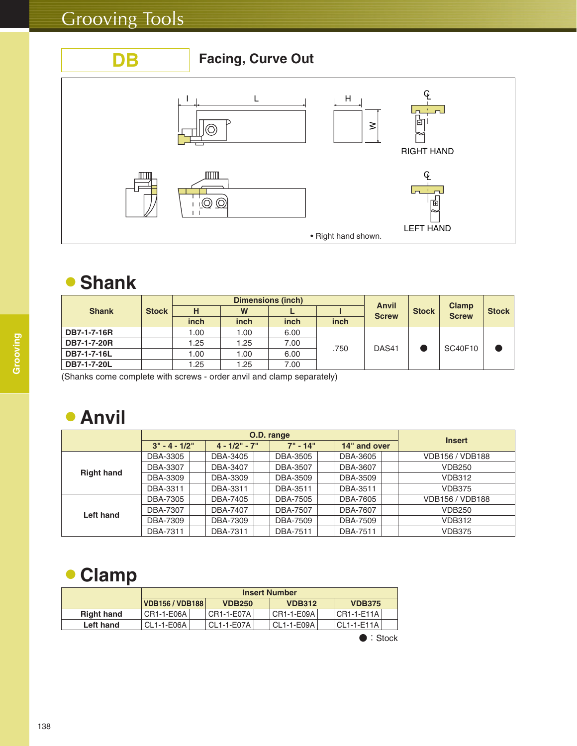

#### 蘆**Shank**

|              |              |      | Anvil |      | <b>Clamp</b> |              |              |              |              |
|--------------|--------------|------|-------|------|--------------|--------------|--------------|--------------|--------------|
| <b>Shank</b> | <b>Stock</b> | н    | W     |      |              | <b>Screw</b> | <b>Stock</b> | <b>Screw</b> | <b>Stock</b> |
|              |              | inch | inch  | inch | inch         |              |              |              |              |
| DB7-1-7-16R  |              | 1.00 | 1.00  | 6.00 |              |              |              | SC40F10      |              |
| DB7-1-7-20R  |              | 1.25 | 1.25  | 7.00 | .750         |              |              |              |              |
| DB7-1-7-16L  |              | 1.00 | 1.00  | 6.00 |              | DAS41        |              |              |              |
| DB7-1-7-20L  |              | 1.25 | 1.25  | 7.00 |              |              |              |              |              |

(Shanks come complete with screws - order anvil and clamp separately)

#### 蘆**Anvil**

|                   |                 | O.D. range      |            | <b>Insert</b> |                        |
|-------------------|-----------------|-----------------|------------|---------------|------------------------|
|                   | $3" - 4 - 1/2"$ | $4 - 1/2" - 7"$ | $7" - 14"$ | 14" and over  |                        |
|                   | DBA-3305        | DBA-3405        | DBA-3505   | DBA-3605      | <b>VDB156 / VDB188</b> |
| <b>Right hand</b> | DBA-3307        | DBA-3407        | DBA-3507   | DBA-3607      | <b>VDB250</b>          |
|                   | DBA-3309        | DBA-3309        | DBA-3509   | DBA-3509      | <b>VDB312</b>          |
|                   | DBA-3311        | DBA-3311        | DBA-3511   | DBA-3511      | <b>VDB375</b>          |
|                   | DBA-7305        | DBA-7405        | DBA-7505   | DBA-7605      | <b>VDB156 / VDB188</b> |
| Left hand         | DBA-7307        | DBA-7407        | DBA-7507   | DBA-7607      | <b>VDB250</b>          |
|                   | DBA-7309        | DBA-7309        | DBA-7509   | DBA-7509      | <b>VDB312</b>          |
|                   | DBA-7311        | DBA-7311        | DBA-7511   | DBA-7511      | <b>VDB375</b>          |

#### 蘆**Clamp**

|                   |                        | <b>Insert Number</b> |               |                        |  |  |  |  |  |  |  |  |  |
|-------------------|------------------------|----------------------|---------------|------------------------|--|--|--|--|--|--|--|--|--|
|                   | <b>VDB156 / VDB188</b> | <b>VDB250</b>        | <b>VDB312</b> | <b>VDB375</b>          |  |  |  |  |  |  |  |  |  |
| <b>Right hand</b> | CR1-1-E06A             | CR1-1-E07A           | CR1-1-E09A    | CR1-1-E11A             |  |  |  |  |  |  |  |  |  |
| Left hand         | . CL1-1-E06A l         | CL1-1-E07A           | CL1-1-E09A    | CL1-1-E11A             |  |  |  |  |  |  |  |  |  |
|                   |                        |                      |               | $\blacksquare$ : Stock |  |  |  |  |  |  |  |  |  |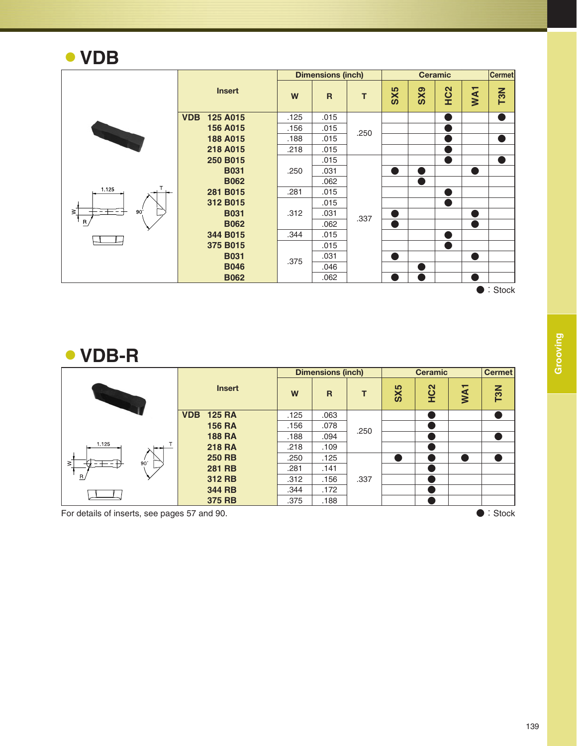#### 蘆**VDB**

|                      |                            |      | <b>Dimensions (inch)</b> |      |     |                 | <b>Ceramic</b>         |                        | <b>Cermet</b>     |
|----------------------|----------------------------|------|--------------------------|------|-----|-----------------|------------------------|------------------------|-------------------|
|                      | <b>Insert</b>              | W    | $\mathsf{R}$             | T    | SX5 | SX <sub>9</sub> | HC <sub>2</sub>        | WA <sub>1</sub>        | T3N               |
|                      | <b>VDB</b><br>125 A015     | .125 | .015                     |      |     |                 |                        |                        | D                 |
|                      | 156 A015                   | .156 | .015                     | .250 |     |                 |                        |                        |                   |
|                      | 188 A015                   | .188 | .015                     |      |     |                 |                        |                        | Ð                 |
|                      | 218 A015                   | .218 | .015                     |      |     |                 | <b>Service Service</b> |                        |                   |
|                      | 250 B015                   |      | .015                     |      |     |                 | ●                      |                        | o                 |
|                      | <b>B031</b><br><b>B062</b> | .250 | .031                     |      |     |                 |                        | <b>Service Service</b> |                   |
|                      |                            |      | .062                     |      |     |                 |                        |                        |                   |
| 1.125                | 281 B015<br>.281           |      | .015                     |      |     |                 | <b>Service Service</b> |                        |                   |
|                      | 312 B015                   |      | .015                     |      |     |                 | <b>Service Service</b> |                        |                   |
| $\geq$<br>$90^\circ$ | <b>B031</b>                | .312 | .031                     | .337 |     |                 |                        |                        |                   |
| $R_{\parallel}$      | <b>B062</b>                |      | .062                     |      |     |                 |                        | n)                     |                   |
|                      | 344 B015                   | .344 | .015                     |      |     |                 |                        |                        |                   |
|                      | 375 B015                   |      | .015                     |      |     |                 |                        |                        |                   |
|                      | <b>B031</b>                | .375 | .031                     |      |     |                 |                        | a l                    |                   |
|                      | <b>B046</b>                |      | .046                     |      |     |                 |                        |                        |                   |
|                      | <b>B062</b>                |      | .062                     |      |     |                 |                        |                        |                   |
|                      |                            |      |                          |      |     |                 |                        |                        | $\bullet$ : Stock |

蘆**VDB-R**

|        |               |                             |      | <b>Dimensions (inch)</b> |      |                 | <b>Ceramic</b>  |                 | <b>Cermet</b>    |
|--------|---------------|-----------------------------|------|--------------------------|------|-----------------|-----------------|-----------------|------------------|
|        | <b>Insert</b> |                             | W    | $\mathsf{R}$             | т    | SX <sub>5</sub> | HC <sub>2</sub> | WA <sub>1</sub> | T <sub>3</sub> N |
|        |               | <b>125 RA</b><br><b>VDB</b> | .125 | .063                     |      |                 |                 |                 |                  |
|        |               | <b>156 RA</b>               | .156 | .078                     | .250 |                 |                 |                 |                  |
|        |               | <b>188 RA</b>               | .188 | .094                     |      |                 |                 |                 |                  |
| 1.125  |               | <b>218 RA</b>               | .218 | .109                     |      |                 |                 |                 |                  |
| $\leq$ | $90^\circ$    | <b>250 RB</b>               | .250 | .125                     |      |                 |                 |                 |                  |
|        |               | <b>281 RB</b>               | .281 | .141                     |      |                 |                 |                 |                  |
| R      |               | 312 RB                      | .312 | .156                     | .337 |                 |                 |                 |                  |
|        |               | 344 RB                      | .344 | .172                     |      |                 |                 |                 |                  |
|        |               | 375 RB                      | .375 | .188                     |      |                 |                 |                 |                  |

For details of inserts, see pages 57 and 90. <br> **Example 20** : Stock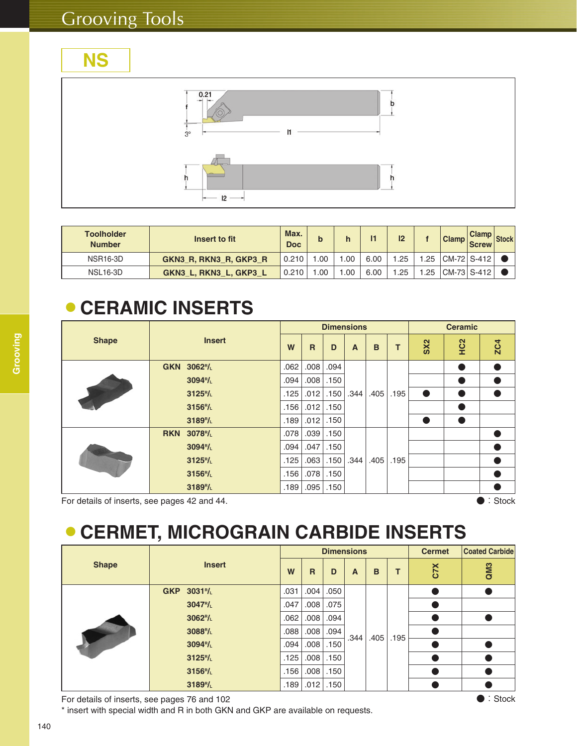# **NS**



| <b>Toolholder</b><br><b>Number</b> | Insert to fit          | Max.<br><b>Doc</b> | b    |     |      | 12  |     | <b>Clamp</b>  | <b>Clamp</b><br><b>Screw</b> |  |
|------------------------------------|------------------------|--------------------|------|-----|------|-----|-----|---------------|------------------------------|--|
| <b>NSR16-3D</b>                    | GKN3 R, RKN3 R, GKP3 R | 0.210              | .00  | .00 | 6.00 | .25 | .25 | CM-72   S-412 |                              |  |
| <b>NSL16-3D</b>                    | GKN3 L, RKN3 L, GKP3 L | 0.210              | .00. | .00 | 6.00 | .25 | .25 | CM-73   S-412 |                              |  |

#### 蘆**CERAMIC INSERTS**

|                                              |               |                        |      |      |      | <b>Dimensions</b> |      |      | <b>Ceramic</b>  |                 |                   |  |
|----------------------------------------------|---------------|------------------------|------|------|------|-------------------|------|------|-----------------|-----------------|-------------------|--|
| <b>Shape</b>                                 | <b>Insert</b> |                        | W    | R    | D    | A                 | B    | т    | SX <sub>2</sub> | HC <sub>2</sub> | <b>ZC4</b>        |  |
|                                              | <b>GKN</b>    | $3062$ <sup>R</sup> /L | .062 | .008 | .094 |                   |      |      |                 |                 |                   |  |
|                                              |               | 3094 <sup>R</sup> /L   | .094 | .008 | .150 |                   |      |      |                 |                 |                   |  |
|                                              |               | 3125 <sup>R</sup> /L   | .125 | .012 | .150 | .344              | .405 | .195 | $\bullet$       |                 |                   |  |
|                                              |               | 3156 <sup>R</sup> /L   | .156 | .012 | .150 |                   |      |      |                 |                 |                   |  |
|                                              |               | 3189 <sup>R</sup> /L   | .189 | .012 | .150 |                   |      |      |                 |                 |                   |  |
|                                              | <b>RKN</b>    | 3078 <sup>R</sup> /L   | .078 | .039 | .150 |                   |      |      |                 |                 |                   |  |
|                                              |               | $3094$ <sup>R</sup> /L | .094 | .047 | .150 |                   |      |      |                 |                 |                   |  |
|                                              |               | 3125 <sup>R</sup> /L   | .125 | .063 | .150 | .344              | .405 | .195 |                 |                 |                   |  |
|                                              |               | 3156 <sup>R</sup> /L   | .156 | .078 | .150 |                   |      |      |                 |                 | ●                 |  |
|                                              |               | 3189 <sup>R</sup> /L   | .189 | .095 | .150 |                   |      |      |                 |                 |                   |  |
| For details of inserts, see pages 42 and 44. |               |                        |      |      |      |                   |      |      |                 |                 | $\bullet$ : Stock |  |

# 蘆**CERMET, MICROGRAIN CARBIDE INSERTS**

|              |                          |      |              |      | <b>Dimensions</b> | <b>Cermet</b> | <b>Coated Carbide</b> |     |     |
|--------------|--------------------------|------|--------------|------|-------------------|---------------|-----------------------|-----|-----|
| <b>Shape</b> | <b>Insert</b>            | W    | $\mathsf{R}$ | D    | A                 | B             | т                     | CTX | QM3 |
|              | GKP 3031 <sup>R</sup> /L | .031 | .004         | .050 |                   |               |                       |     |     |
|              | $3047$ <sup>R</sup> /L   | .047 | .008         | .075 |                   |               |                       |     |     |
|              | 3062 <sup>R</sup> /L     | .062 | .008         | .094 |                   |               |                       |     |     |
|              | 3088 <sup>R</sup> /L     | .088 | .008         | .094 | .344              | .405          | .195                  |     |     |
|              | 3094 <sup>R</sup> /L     | .094 | .008         | .150 |                   |               |                       |     |     |
|              | $3125$ <sup>R</sup> /L   | .125 | .008         | .150 |                   |               |                       |     |     |
|              | 3156 <sup>R</sup> /L     | .156 | .008         | .150 |                   |               |                       |     |     |
|              | 3189 <sup>R</sup> /L     | .189 | .012         | .150 |                   |               |                       |     |     |

For details of inserts, see pages 76 and 102 **and 102** and 102 and 102 and 102 and 102 and 102 and 102 and 102 and 102 and 102 and 102 and 102 and 103 and 103 and 103 and 103 and 103 and 103 and 103 and 103 and 103 and 103

\* insert with special width and R in both GKN and GKP are available on requests.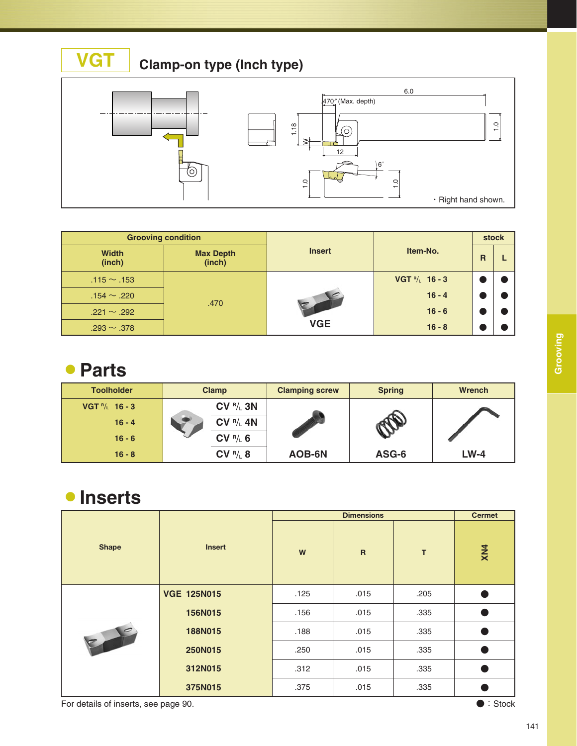



|                        | <b>Grooving condition</b>  |               |                        | stock          |  |  |
|------------------------|----------------------------|---------------|------------------------|----------------|--|--|
| <b>Width</b><br>(inch) | <b>Max Depth</b><br>(inch) | <b>Insert</b> | Item-No.               | $\overline{R}$ |  |  |
| $.115 \sim .153$       |                            |               | VGT $^{R}/_{L}$ 16 - 3 |                |  |  |
| $.154 \sim .220$       | .470                       |               | $16 - 4$               |                |  |  |
| $.221 \sim .292$       |                            |               | $16 - 6$               |                |  |  |
| $.293 \sim .378$       |                            | <b>VGE</b>    | $16 - 8$               |                |  |  |

#### 蘆**Parts**

| <b>Toolholder</b> | <b>Clamp</b> | <b>Clamping screw</b> | <b>Spring</b> | <b>Wrench</b> |
|-------------------|--------------|-----------------------|---------------|---------------|
| VGT $P/L$ 16 - 3  | $CV R/L$ 3N  |                       |               |               |
| $16 - 4$          | $CV R_L 4N$  |                       |               |               |
| $16 - 6$          | CV R/L 6     |                       |               |               |
| $16 - 8$          | CV R/L 8     | AOB-6N                | ASG-6         | $LW-4$        |

#### 蘆**Inserts**

|              |                    |      | <b>Dimensions</b>         |      | <b>Cermet</b> |
|--------------|--------------------|------|---------------------------|------|---------------|
| <b>Shape</b> | <b>Insert</b>      | W    | $\boldsymbol{\mathsf{R}}$ | T    | XN4           |
|              | <b>VGE 125N015</b> | .125 | .015                      | .205 | Δ             |
|              | 156N015            | .156 | .015                      | .335 | $\bullet$     |
| $\epsilon$   | 188N015            | .188 | .015                      | .335 |               |
|              | 250N015            | .250 | .015                      | .335 | $\bullet$     |
|              | 312N015            | .312 | .015                      | .335 |               |
|              | 375N015            | .375 | .015                      | .335 |               |

For details of inserts, see page 90. **All and Stock and Stock Contracts** of Stock Contracts of Stock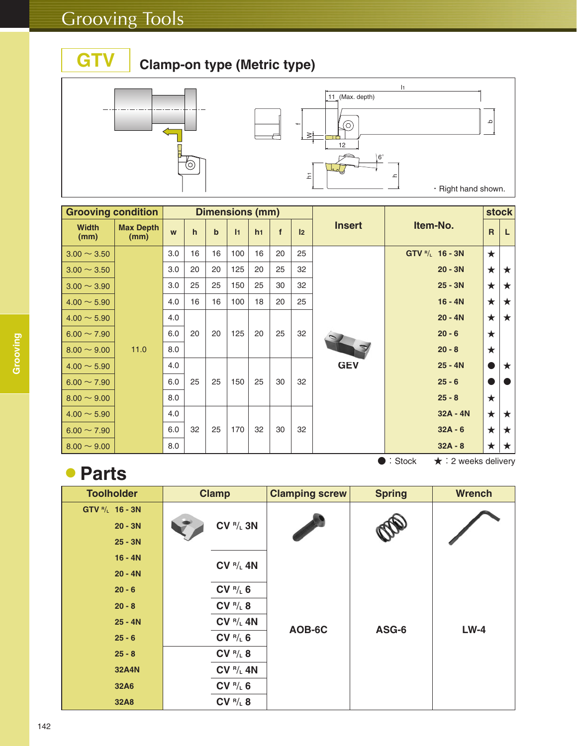**GTV**

#### **Clamp-on type (Metric type)**



| <b>Grooving condition</b> |                          |     |              |             | <b>Dimensions (mm)</b> |    |    |               |               |                                                 |              | <b>stock</b> |  |           |         |   |
|---------------------------|--------------------------|-----|--------------|-------------|------------------------|----|----|---------------|---------------|-------------------------------------------------|--------------|--------------|--|-----------|---------|---|
| <b>Width</b><br>(mm)      | <b>Max Depth</b><br>(mm) | W   | $\mathsf{h}$ | $\mathbf b$ | $\vert$ 1              | h1 | f  | $\mathsf{I}2$ | <b>Insert</b> | Item-No.                                        | $\mathsf{R}$ | L            |  |           |         |   |
| $3.00 \sim 3.50$          |                          | 3.0 | 16           | 16          | 100                    | 16 | 20 | 25            |               | GTV <sup>R</sup> /L 16 - 3N                     | $\star$      |              |  |           |         |   |
| $3.00 \sim 3.50$          |                          | 3.0 | 20           | 20          | 125                    | 20 | 25 | 32            |               | $20 - 3N$                                       | $\star$      | $\star$      |  |           |         |   |
| $3.00 \sim 3.90$          |                          | 3.0 | 25           | 25          | 150                    | 25 | 30 | 32            |               |                                                 |              |              |  | $25 - 3N$ | $\star$ | ★ |
| $4.00 \sim 5.90$          |                          | 4.0 | 16           | 16          | 100                    | 18 | 20 | 25            |               | $16 - 4N$                                       | $\star$      | $\star$      |  |           |         |   |
| $4.00 \sim 5.90$          |                          | 4.0 |              |             |                        |    |    |               |               | $20 - 4N$                                       | $\star$      | $\star$      |  |           |         |   |
| $6.00 \sim 7.90$          |                          | 6.0 | 20           | 20          | 125                    | 20 | 25 | 32            |               |                                                 | $20 - 6$     | $\star$      |  |           |         |   |
| $8.00 \sim 9.00$          | 11.0                     | 8.0 |              |             |                        |    |    |               |               | $20 - 8$                                        | $\star$      |              |  |           |         |   |
| $4.00 \sim 5.90$          |                          | 4.0 |              |             |                        |    |    |               | <b>GEV</b>    | $25 - 4N$                                       | œ            | ★            |  |           |         |   |
| $6.00 \sim 7.90$          |                          | 6.0 | 25           | 25          | 150                    | 25 | 30 | 32            |               | $25 - 6$                                        |              |              |  |           |         |   |
| $8.00 \sim 9.00$          |                          | 8.0 |              |             |                        |    |    |               |               | $25 - 8$                                        | $\star$      |              |  |           |         |   |
| $4.00 \sim 5.90$          |                          | 4.0 |              |             |                        |    |    |               |               | $32A - 4N$                                      | $\star$      | $\star$      |  |           |         |   |
| $6.00 \sim 7.90$          |                          | 6.0 | 32           | 25          | 170                    | 32 | 30 | 32            |               | $32A - 6$                                       | $\star$      | ★            |  |           |         |   |
| $8.00 \sim 9.00$          |                          | 8.0 |              |             |                        |    |    |               |               | $32A - 8$                                       | $\star$      | ★            |  |           |         |   |
|                           |                          |     |              |             |                        |    |    |               |               | $\bullet$ : Stock<br>$\star$ : 2 weeks delivery |              |              |  |           |         |   |

# 蘆**Parts**

**Toolholder GTV R**/**<sup>L</sup> 16 - 3N 20 - 3N 25 - 3N 16 - 4N 20 - 4N 20 - 6 20 - 8 25 - 4N 25 - 6 25 - 8 32A4N 32A6 32A8 Clamp CV R**/**<sup>L</sup> 3N CV R**/**<sup>L</sup> 4N CV R**/**<sup>L</sup> 6 CV R**/**<sup>L</sup> 8 CV R**/**<sup>L</sup> 4N CV R**/**<sup>L</sup> 6 CV R**/**<sup>L</sup> 8 CV R**/**<sup>L</sup> 4N CV R**/**<sup>L</sup> 6 CV R**/**<sup>L</sup> 8 AOB-6C ASG-6 LW-4 Clamping screw Spring Wrench**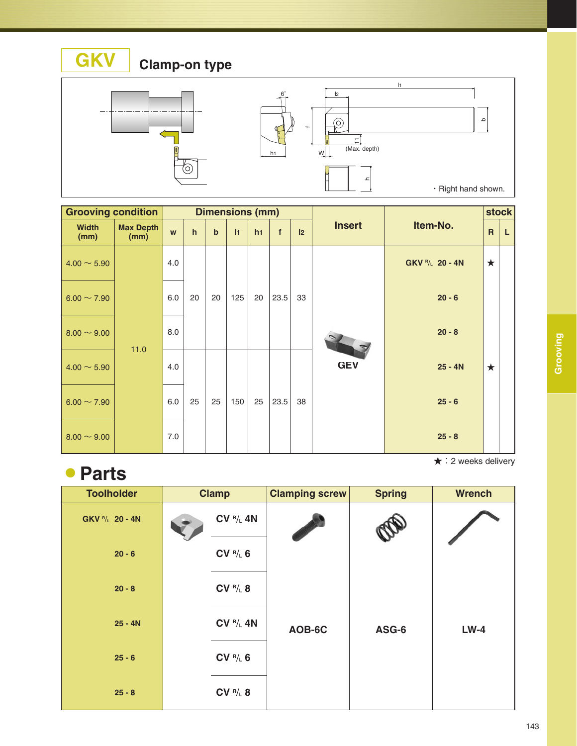**Clamp-on type**



**GKV**



| <b>Grooving condition</b> |                          |     |              |             | <b>Dimensions (mm)</b> |                |             |    |               |                   |                | <b>stock</b> |
|---------------------------|--------------------------|-----|--------------|-------------|------------------------|----------------|-------------|----|---------------|-------------------|----------------|--------------|
| <b>Width</b><br>(mm)      | <b>Max Depth</b><br>(mm) | W   | $\mathsf{h}$ | $\mathbf b$ | $\vert$ 1              | h <sub>1</sub> | $\mathbf f$ | 12 | <b>Insert</b> | Item-No.          | $\overline{R}$ | L.           |
| $4.00 \sim 5.90$          |                          | 4.0 |              |             |                        |                |             |    |               | $GKV R/L 20 - 4N$ | $\star$        |              |
| $6.00 \sim 7.90$          |                          | 6.0 | 20           | 20          | 125                    | 20             | 23.5        | 33 |               | $20 - 6$          |                |              |
| $8.00 \sim 9.00$          | 11.0                     | 8.0 |              |             |                        |                |             |    |               | $20 - 8$          |                |              |
| $4.00 \sim 5.90$          |                          | 4.0 |              |             |                        |                |             |    | <b>GEV</b>    | $25 - 4N$         | $\star$        |              |
| $6.00 \sim 7.90$          |                          | 6.0 | 25           | 25          | 150                    | 25             | 23.5        | 38 |               | $25 - 6$          |                |              |
| $8.00 \sim 9.00$          |                          | 7.0 |              |             |                        |                |             |    |               | $25 - 8$          |                |              |

★:2 weeks delivery

#### 蘆**Parts**

| <b>Toolholder</b>           | <b>Clamp</b>                | <b>Clamping screw</b> | <b>Spring</b> | <b>Wrench</b> |
|-----------------------------|-----------------------------|-----------------------|---------------|---------------|
| GKV <sup>R</sup> /L 20 - 4N | $CV R/L$ 4N                 |                       |               |               |
| $20 - 6$                    | CV R/L 6                    |                       |               |               |
| $20 - 8$                    | CV R/L 8                    |                       |               |               |
| $25 - 4N$                   | <b>CV <sup>R</sup>/L 4N</b> | AOB-6C                | ASG-6         | $LW-4$        |
| $25 - 6$                    | CV R/L 6                    |                       |               |               |
| $25 - 8$                    | CV R/L 8                    |                       |               |               |

**Grooving**